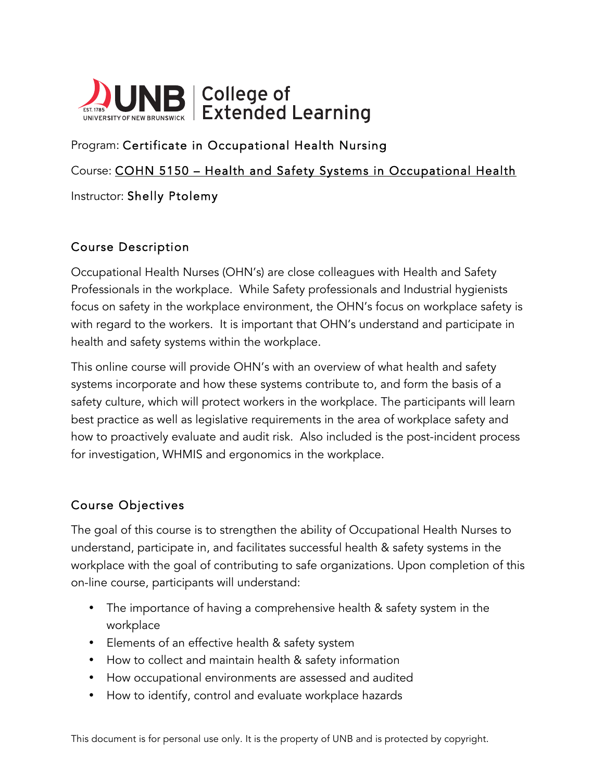

Program: Certificate in Occupational Health Nursing Course: COHN 5150 – Health and Safety Systems in Occupational Health Instructor: Shelly Ptolemy

## Course Description

Occupational Health Nurses (OHN's) are close colleagues with Health and Safety Professionals in the workplace. While Safety professionals and Industrial hygienists focus on safety in the workplace environment, the OHN's focus on workplace safety is with regard to the workers. It is important that OHN's understand and participate in health and safety systems within the workplace.

This online course will provide OHN's with an overview of what health and safety systems incorporate and how these systems contribute to, and form the basis of a safety culture, which will protect workers in the workplace. The participants will learn best practice as well as legislative requirements in the area of workplace safety and how to proactively evaluate and audit risk. Also included is the post-incident process for investigation, WHMIS and ergonomics in the workplace.

## Course Objectives

The goal of this course is to strengthen the ability of Occupational Health Nurses to understand, participate in, and facilitates successful health & safety systems in the workplace with the goal of contributing to safe organizations. Upon completion of this on-line course, participants will understand:

- The importance of having a comprehensive health & safety system in the workplace
- Elements of an effective health & safety system
- How to collect and maintain health & safety information
- How occupational environments are assessed and audited
- How to identify, control and evaluate workplace hazards